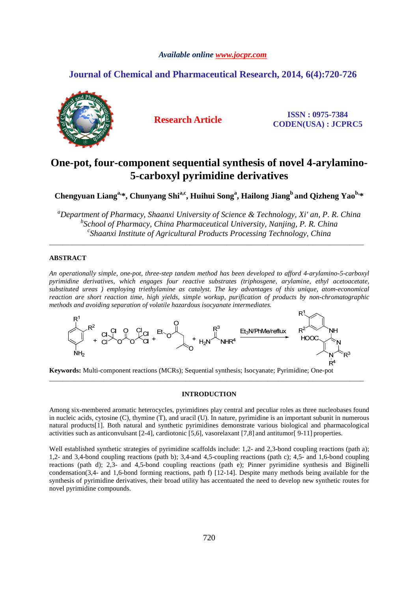# *Available online www.jocpr.com*

# **Journal of Chemical and Pharmaceutical Research, 2014, 6(4):720-726**



**Research Article ISSN : 0975-7384 CODEN(USA) : JCPRC5**

# **One-pot, four-component sequential synthesis of novel 4-arylamino-5-carboxyl pyrimidine derivatives**

Chengyuan Liang<sup>a,\*</sup>, Chunyang Shi<sup>a,c</sup>, Huihui Song<sup>a</sup>, Hailong Jiang<sup>b</sup> and Qizheng Yao<sup>b,\*</sup>

*<sup>a</sup>Department of Pharmacy, Shaanxi University of Science & Technology, Xi' an, P. R. China b School of Pharmacy, China Pharmaceutical University, Nanjing, P. R. China c Shaanxi Institute of Agricultural Products Processing Technology, China* 

\_\_\_\_\_\_\_\_\_\_\_\_\_\_\_\_\_\_\_\_\_\_\_\_\_\_\_\_\_\_\_\_\_\_\_\_\_\_\_\_\_\_\_\_\_\_\_\_\_\_\_\_\_\_\_\_\_\_\_\_\_\_\_\_\_\_\_\_\_\_\_\_\_\_\_\_\_\_\_\_\_\_\_\_\_\_\_\_\_\_\_\_

# **ABSTRACT**

*An operationally simple, one-pot, three-step tandem method has been developed to afford 4-arylamino-5-carboxyl pyrimidine derivatives, which engages four reactive substrates (triphosgene, arylamine, ethyl acetoacetate, substituted ureas ) employing triethylamine as catalyst. The key advantages of this unique, atom-economical reaction are short reaction time, high yields, simple workup, purification of products by non-chromatographic methods and avoiding separation of volatile hazardous isocyanate intermediates.* 



**Keywords:** Multi-component reactions (MCRs); Sequential synthesis; Isocyanate; Pyrimidine; One-pot

# **INTRODUCTION**

\_\_\_\_\_\_\_\_\_\_\_\_\_\_\_\_\_\_\_\_\_\_\_\_\_\_\_\_\_\_\_\_\_\_\_\_\_\_\_\_\_\_\_\_\_\_\_\_\_\_\_\_\_\_\_\_\_\_\_\_\_\_\_\_\_\_\_\_\_\_\_\_\_\_\_\_\_\_\_\_\_\_\_\_\_\_\_\_\_\_\_\_

Among six-membered aromatic heterocycles, pyrimidines play central and peculiar roles as three nucleobases found in nucleic acids, cytosine (C), thymine (T), and uracil (U). In nature, pyrimidine is an important subunit in numerous natural products[1]. Both natural and synthetic pyrimidines demonstrate various biological and pharmacological activities such as anticonvulsant [2-4], cardiotonic [5,6], vasorelaxant [7,8] and antitumor[ 9-11] properties.

Well established synthetic strategies of pyrimidine scaffolds include: 1,2- and 2,3-bond coupling reactions (path a); 1,2- and 3,4-bond coupling reactions (path b); 3,4-and 4,5-coupling reactions (path c); 4,5- and 1,6-bond coupling reactions (path d); 2,3- and 4,5-bond coupling reactions (path e); Pinner pyrimidine synthesis and Biginelli condensation(3,4- and 1,6-bond forming reactions, path f) [12-14]. Despite many methods being available for the synthesis of pyrimidine derivatives, their broad utility has accentuated the need to develop new synthetic routes for novel pyrimidine compounds.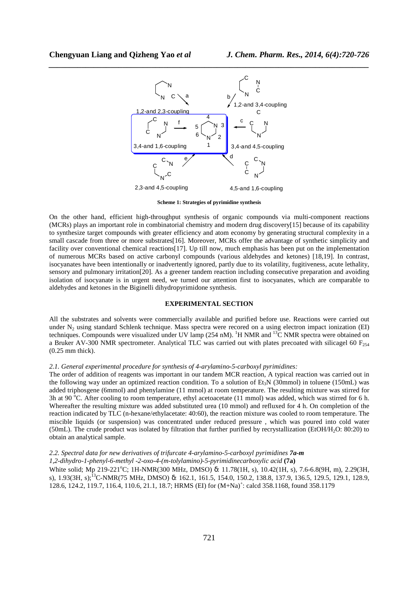

**Scheme 1: Strategies of pyrimidine synthesis** 

On the other hand, efficient high-throughput synthesis of organic compounds via multi-component reactions (MCRs) plays an important role in combinatorial chemistry and modern drug discovery[15] because of its capability to synthesize target compounds with greater efficiency and atom economy by generating structural complexity in a small cascade from three or more substrates[16]. Moreover, MCRs offer the advantage of synthetic simplicity and facility over conventional chemical reactions[17]. Up till now, much emphasis has been put on the implementation of numerous MCRs based on active carbonyl compounds (various aldehydes and ketones) [18,19]. In contrast, isocyanates have been intentionally or inadvertently ignored, partly due to its volatility, fugitiveness, acute lethality, sensory and pulmonary irritation[20]. As a greener tandem reaction including consecutive preparation and avoiding isolation of isocyanate is in urgent need, we turned our attention first to isocyanates, which are comparable to aldehydes and ketones in the Biginelli dihydropyrimidone synthesis.

#### **EXPERIMENTAL SECTION**

All the substrates and solvents were commercially available and purified before use. Reactions were carried out under  $N_2$  using standard Schlenk technique. Mass spectra were recored on a using electron impact ionization (EI) techniques. Compounds were visualized under UV lamp (254 nM). <sup>1</sup>H NMR and <sup>13</sup>C NMR spectra were obtained on a Bruker AV-300 NMR spectrometer. Analytical TLC was carried out with plates precoated with silicagel 60  $F_{254}$ (0.25 mm thick).

#### *2.1. General experimental procedure for synthesis of 4-arylamino-5-carboxyl pyrimidines:*

The order of addition of reagents was important in our tandem MCR reaction, A typical reaction was carried out in the following way under an optimized reaction condition. To a solution of  $Et<sub>3</sub>N$  (30mmol) in toluene (150mL) was added triphosgene (6mmol) and phenylamine (11 mmol) at room temperature. The resulting mixture was stirred for 3h at 90 °C. After cooling to room temperature, ethyl acetoacetate (11 mmol) was added, which was stirred for 6 h. Whereafter the resulting mixture was added substituted urea (10 mmol) and refluxed for 4 h. On completion of the reaction indicated by TLC (n-hexane/ethylacetate: 40:60), the reaction mixture was cooled to room temperature. The miscible liquids (or suspension) was concentrated under reduced pressure , which was poured into cold water (50mL). The crude product was isolated by filtration that further purified by recrystallization (EtOH/H2O: 80:20) to obtain an analytical sample.

# *2.2. Spectral data for new derivatives of trifurcate 4-arylamino-5-carboxyl pyrimidines 7a-m*

*1,2-dihydro-1-phenyl-6-methyl -2-oxo-4-(m-tolylamino)-5-pyrimidinecarboxylic acid* **(7a)** White solid; Mp 219-221<sup>°</sup>C; 1H-NMR(300 MHz, DMSO) δ: 11.78(1H, s), 10.42(1H, s), 7.6-6.8(9H, m), 2.29(3H, s), 1.93(3H, s);<sup>13</sup>C-NMR(75 MHz, DMSO) δ: 162.1, 161.5, 154.0, 150.2, 138.8, 137.9, 136.5, 129.5, 129.1, 128.9, 128.6, 124.2, 119.7, 116.4, 110.6, 21.1, 18.7; HRMS (EI) for  $(M+Na)^+$ : calcd 358.1168, found 358.1179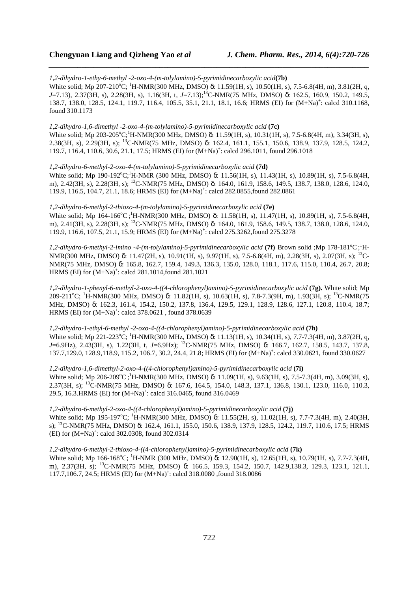*1,2-dihydro-1-ethy-6-methyl -2-oxo-4-(m-tolylamino)-5-pyrimidinecarboxylic acid***(7b)** White solid; Mp 207-210<sup>o</sup>C; <sup>1</sup>H-NMR(300 MHz, DMSO) δ: 11.59(1H, s), 10.50(1H, s), 7.5-6.8(4H, m), 3.81(2H, q, *J*=7.13), 2.37(3H, s), 2.28(3H, s), 1.16(3H, t, *J*=7.13);<sup>13</sup>C-NMR(75 MHz, DMSO) δ: 162.5, 160.9, 150.2, 149.5, 138.7, 138.0, 128.5, 124.1, 119.7, 116.4, 105.5, 35.1, 21.1, 18.1, 16.6; HRMS (EI) for  $(M+Na)^+$ : calcd 310.1168, found 310.1173

*\_\_\_\_\_\_\_\_\_\_\_\_\_\_\_\_\_\_\_\_\_\_\_\_\_\_\_\_\_\_\_\_\_\_\_\_\_\_\_\_\_\_\_\_\_\_\_\_\_\_\_\_\_\_\_\_\_\_\_\_\_\_\_\_\_\_\_\_\_\_\_\_\_\_\_\_\_\_*

# *1,2-dihydro-1,6-dimethyl -2-oxo-4-(m-tolylamino)-5-pyrimidinecarboxylic acid* **(7c)**

White solid; Mp 203-205°C;<sup>1</sup>H-NMR(300 MHz, DMSO) δ: 11.59(1H, s), 10.31(1H, s), 7.5-6.8(4H, m), 3.34(3H, s), 2.38(3H, s), 2.29(3H, s); <sup>13</sup>C-NMR(75 MHz, DMSO) δ: 162.4, 161.1, 155.1, 150.6, 138.9, 137.9, 128.5, 124.2, 119.7, 116.4, 110.6, 30.6, 21.1, 17.5; HRMS (EI) for  $(M+Na)^+$ : calcd 296.1011, found 296.1018

*1,2-dihydro-6-methyl-2-oxo-4-(m-tolylamino)-5-pyrimidinecarboxylic acid* **(7d)**

White solid; Mp  $190-192^{\circ}C$ ;<sup>1</sup>H-NMR (300 MHz, DMSO) δ: 11.56(1H, s), 11.43(1H, s), 10.89(1H, s), 7.5-6.8(4H, m), 2.42(3H, s), 2.28(3H, s); <sup>13</sup>C-NMR(75 MHz, DMSO) δ: 164.0, 161.9, 158.6, 149.5, 138.7, 138.0, 128.6, 124.0, 119.9, 116.5, 104.7, 21.1, 18.6; HRMS (EI) for  $(M+Na)^+$ : calcd 282.0855, found 282.0861

#### *1,2-dihydro-6-methyl-2-thioxo-4-(m-tolylamino)-5-pyrimidinecarboxylic acid* **(7e)**

White solid; Mp 164-166<sup>o</sup>C;<sup>1</sup>H-NMR(300 MHz, DMSO) δ: 11.58(1H, s), 11.47(1H, s), 10.89(1H, s), 7.5-6.8(4H, m), 2.41(3H, s), 2.28(3H, s); <sup>13</sup>C-NMR(75 MHz, DMSO) δ: 164.0, 161.9, 158.6, 149.5, 138.7, 138.0, 128.6, 124.0, 119.9, 116.6, 107.5, 21.1, 15.9; HRMS (EI) for  $(M+Na)^+$ : calcd 275.3262, found 275.3278

1,2-dihydro-6-methyl-2-imino -4-(m-tolylamino)-5-pyrimidinecarboxylic acid (7f) Brown solid ;Mp 178-181<sup>o</sup>C;<sup>1</sup>H-NMR(300 MHz, DMSO) δ: 11.47(2H, s), 10.91(1H, s), 9.97(1H, s), 7.5-6.8(4H, m), 2.28(3H, s), 2.07(3H, s); <sup>13</sup>C-NMR(75 MHz, DMSO) δ: 165.8, 162.7, 159.4, 149.3, 136.3, 135.0, 128.0, 118.1, 117.6, 115.0, 110.4, 26.7, 20.8; HRMS (EI) for  $(M+Na)^+$ : calcd 281.1014, found 281.1021

*1,2-dihydro-1-phenyl-6-methyl-2-oxo-4-((4-chlorophenyl)amino)-5-pyrimidinecarboxylic acid* **(7g).** White solid; Mp 209-211<sup>o</sup>C; <sup>1</sup>H-NMR(300 MHz, DMSO) δ: 11.82(1H, s), 10.63(1H, s), 7.8-7.3(9H, m), 1.93(3H, s); <sup>13</sup>C-NMR(75 MHz, DMSO) δ: 162.3, 161.4, 154.2, 150.2, 137.8, 136.4, 129.5, 129.1, 128.9, 128.6, 127.1, 120.8, 110.4, 18.7; HRMS (EI) for  $(M+Na)^+$ : calcd 378.0621, found 378.0639

*1,2-dihydro-1-ethyl-6-methyl -2-oxo-4-((4-chlorophenyl)amino)-5-pyrimidinecarboxylic acid* **(7h)** White solid; Mp 221-223 °C; <sup>1</sup>H-NMR(300 MHz, DMSO) δ: 11.13(1H, s), 10.34(1H, s), 7.7-7.3(4H, m), 3.87(2H, q, *J*=6.9Hz), 2.43(3H, s), 1.22(3H, t, *J*=6.9Hz); <sup>13</sup>C-NMR(75 MHz, DMSO) δ: 166.7, 162.7, 158.5, 143.7, 137.8, 137.7,129.0, 128.9,118.9, 115.2, 106.7, 30.2, 24.4, 21.8; HRMS (EI) for  $(M+Na)^+$ : calcd 330.0621, found 330.0627

*1,2-dihydro-1,6-dimethyl-2-oxo-4-((4-chlorophenyl)amino)-5-pyrimidinecarboxylic acid* **(7i)**  White solid; Mp 206-209 °C;<sup>1</sup>H-NMR(300 MHz, DMSO) δ: 11.09(1H, s), 9.63(1H, s), 7.5-7.3(4H, m), 3.09(3H, s), 2.37(3H, s); <sup>13</sup>C-NMR(75 MHz, DMSO) δ: 167.6, 164.5, 154.0, 148.3, 137.1, 136.8, 130.1, 123.0, 116.0, 110.3, 29.5, 16.3. HRMS (EI) for  $(M+Na)^+$ : calcd 316.0465, found 316.0469

*1,2-dihydro-6-methyl-2-oxo-4-((4-chlorophenyl)amino)-5-pyrimidinecarboxylic acid* **(7j)** White solid; Mp 195-197<sup>o</sup>C; <sup>1</sup>H-NMR(300 MHz, DMSO) δ: 11.55(2H, s), 11.02(1H, s), 7.7-7.3(4H, m), 2.40(3H, s); <sup>13</sup>C-NMR(75 MHz, DMSO) δ: 162.4, 161.1, 155.0, 150.6, 138.9, 137.9, 128.5, 124.2, 119.7, 110.6, 17.5; HRMS (EI) for  $(M+Na)^+$ : calcd 302.0308, found 302.0314

# *1,2-dihydro-6-methyl-2-thioxo-4-((4-chlorophenyl)amino)-5-pyrimidinecarboxylic acid* **(7k)**

White solid; Mp 166-168°C; <sup>1</sup>H-NMR (300 MHz, DMSO) δ: 12.90(1H, s), 12.65(1H, s), 10.79(1H, s), 7.7-7.3(4H, m), 2.37(3H, s); <sup>13</sup>C-NMR(75 MHz, DMSO) δ: 166.5, 159.3, 154.2, 150.7, 142.9,138.3, 129.3, 123.1, 121.1, 117.7,106.7, 24.5; HRMS (EI) for  $(M+Na)^+$ : calcd 318.0080 ,found 318.0086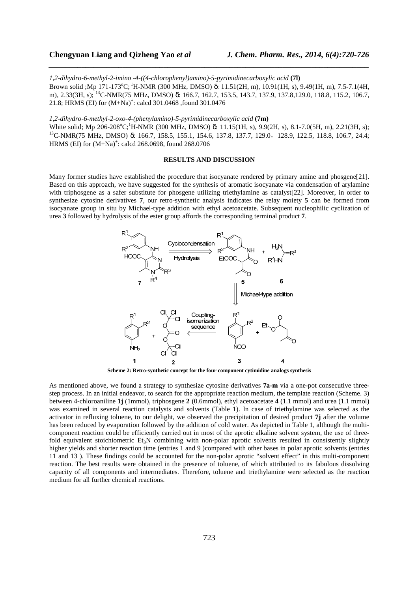*1,2-dihydro-6-methyl-2-imino -4-((4-chlorophenyl)amino)-5-pyrimidinecarboxylic acid* **(7l)** Brown solid ;Mp 171-173°C;<sup>1</sup>H-NMR (300 MHz, DMSO) δ: 11.51(2H, m), 10.91(1H, s), 9.49(1H, m), 7.5-7.1(4H, m), 2.33(3H, s); <sup>13</sup>C-NMR(75 MHz, DMSO) δ: 166.7, 162.7, 153.5, 143.7, 137.9, 137.8,129.0, 118.8, 115.2, 106.7, 21.8; HRMS (EI) for  $(M+Na)^+$ : calcd 301.0468 , found 301.0476

*\_\_\_\_\_\_\_\_\_\_\_\_\_\_\_\_\_\_\_\_\_\_\_\_\_\_\_\_\_\_\_\_\_\_\_\_\_\_\_\_\_\_\_\_\_\_\_\_\_\_\_\_\_\_\_\_\_\_\_\_\_\_\_\_\_\_\_\_\_\_\_\_\_\_\_\_\_\_*

*1,2-dihydro-6-methyl-2-oxo-4-(phenylamino)-5-pyrimidinecarboxylic acid* **(7m)**

White solid; Mp  $206-208^{\circ}C$ ;<sup>1</sup>H-NMR (300 MHz, DMSO) δ: 11.15(1H, s), 9.9(2H, s), 8.1-7.0(5H, m), 2.21(3H, s); <sup>13</sup>C-NMR(75 MHz, DMSO) δ: 166.7, 158.5, 155.1, 154.6, 137.8, 137.7, 129.0, 128.9, 122.5, 118.8, 106.7, 24.4; HRMS (EI) for  $(M+Na)^+$ : calcd 268.0698, found 268.0706

# **RESULTS AND DISCUSSION**

Many former studies have established the procedure that isocyanate rendered by primary amine and phosgene[21]. Based on this approach, we have suggested for the synthesis of aromatic isocyanate via condensation of arylamine with triphosgene as a safer substitute for phosgene utilizing triethylamine as catalyst[22]. Moreover, in order to synthesize cytosine derivatives **7**, our retro-synthetic analysis indicates the relay moiety **5** can be formed from isocyanate group in situ by Michael-type addition with ethyl acetoacetate. Subsequent nucleophilic cyclization of urea **3** followed by hydrolysis of the ester group affords the corresponding terminal product **7**.



**Scheme 2: Retro-synthetic concept for the four component cytimidine analogs synthesis** 

As mentioned above, we found a strategy to synthesize cytosine derivatives **7a-m** via a one-pot consecutive threestep process. In an initial endeavor, to search for the appropriate reaction medium, the template reaction (Scheme. 3) between 4-chloroaniline **1j** (1mmol), triphosgene **2** (0.6mmol), ethyl acetoacetate **4** (1.1 mmol) and urea (1.1 mmol) was examined in several reaction catalysts and solvents (Table 1). In case of triethylamine was selected as the activator in refluxing toluene, to our delight, we observed the precipitation of desired product **7j** after the volume has been reduced by evaporation followed by the addition of cold water. As depicted in Table 1, although the multicomponent reaction could be efficiently carried out in most of the aprotic alkaline solvent system, the use of threefold equivalent stoichiometric  $Et_3N$  combining with non-polar aprotic solvents resulted in consistently slightly higher yields and shorter reaction time (entries 1 and 9 )compared with other bases in polar aprotic solvents (entries 11 and 13 ). These findings could be accounted for the non-polar aprotic "solvent effect" in this multi-component reaction. The best results were obtained in the presence of toluene, of which attributed to its fabulous dissolving capacity of all components and intermediates. Therefore, toluene and triethylamine were selected as the reaction medium for all further chemical reactions.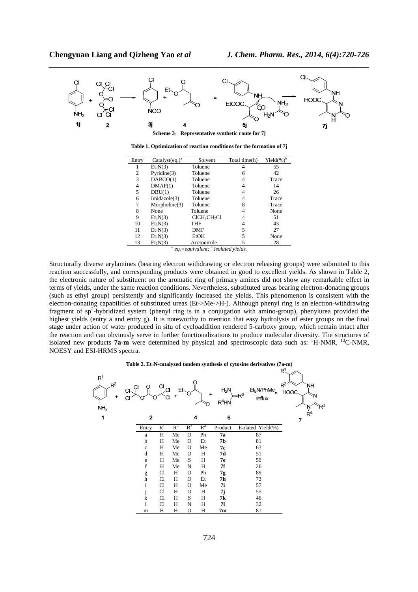

**Table 1. Optimization of reaction conditions for the formation of 7j** 

| Entry | Catalyst $(eq.)^a$ | Solvent                              | Total time(h) | Yield $(\%)^b$ |
|-------|--------------------|--------------------------------------|---------------|----------------|
|       | $Et_3N(3)$         | Toluene                              |               | 55             |
| 2     | Pyridine(3)        | Toluene                              | 6             | 42             |
| 3     | DABCO(1)           | Toluene                              |               | Trace          |
| 4     | DMAP(1)            | Toluene                              |               | 14             |
| 5     | DBU(1)             | Toluene                              |               | 26             |
| 6     | Imidazole(3)       | Toluene                              |               | Trace          |
|       | Morpholine(3)      | Toluene                              | 8             | Trace          |
| 8     | None               | Toluene                              |               | None           |
| 9     | $Et_3N(3)$         | CICH <sub>2</sub> CH <sub>2</sub> Cl |               | 51             |
| 10    | $Et_3N(3)$         | THF                                  |               | 43             |
| 11    | $Et_3N(3)$         | DMF                                  | 5             | 27             |
| 12    | $Et_3N(3)$         | EtOH                                 | 5             | None           |
| 13    | $Et_3N(3)$         | Acetonitrile<br>L                    |               | 28             |

*a eq.=equivalent; <sup>b</sup> Isolated yields.*

Structurally diverse arylamines (bearing electron withdrawing or electron releasing groups) were submitted to this reaction successfully, and corresponding products were obtained in good to excellent yields. As shown in Table 2, the electronic nature of substituent on the aromatic ring of primary amines did not show any remarkable effect in terms of yields, under the same reaction conditions. Nevertheless, substituted ureas bearing electron-donating groups (such as ethyl group) persistently and significantly increased the yields. This phenomenon is consistent with the electron-donating capabilities of substituted ureas (Et->Me->H-). Although phenyl ring is an electron-withdrawing fragment of sp<sup>2</sup>-hybridized system (phenyl ring is in a conjugation with amino-group), phenylurea provided the highest yields (entry a and entry g). It is noteworthy to mention that easy hydrolysis of ester groups on the final stage under action of water produced in situ of cycloaddition rendered 5-carboxy group, which remain intact after the reaction and can obviously serve in further functionalizations to produce molecular diversity. The structures of isolated new products 7a-m were determined by physical and spectroscopic data such as: <sup>1</sup>H-NMR, <sup>13</sup>C-NMR, NOESY and ESI-HRMS spectra.

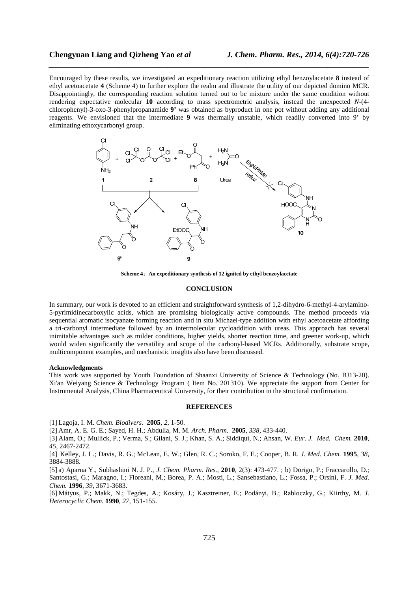Encouraged by these results, we investigated an expeditionary reaction utilizing ethyl benzoylacetate **8** instead of ethyl acetoacetate **4** (Scheme 4) to further explore the realm and illustrate the utility of our depicted domino MCR. Disappointingly, the corresponding reaction solution turned out to be mixture under the same condition without rendering expectative molecular **10** according to mass spectrometric analysis, instead the unexpected *N*-(4 chlorophenyl)-3-oxo-3-phenylpropanamide **9'** was obtained as byproduct in one pot without adding any additional reagents. We envisioned that the intermediate **9** was thermally unstable, which readily converted into 9' by eliminating ethoxycarbonyl group.

*\_\_\_\_\_\_\_\_\_\_\_\_\_\_\_\_\_\_\_\_\_\_\_\_\_\_\_\_\_\_\_\_\_\_\_\_\_\_\_\_\_\_\_\_\_\_\_\_\_\_\_\_\_\_\_\_\_\_\_\_\_\_\_\_\_\_\_\_\_\_\_\_\_\_\_\_\_\_*



**Scheme 4**:**An expeditionary synthesis of 12 ignited by ethyl benzoylacetate** 

# **CONCLUSION**

In summary, our work is devoted to an efficient and straightforward synthesis of 1,2-dihydro-6-methyl-4-arylamino-5-pyrimidinecarboxylic acids, which are promising biologically active compounds. The method proceeds via sequential aromatic isocyanate forming reaction and in situ Michael-type addition with ethyl acetoacetate affording a tri-carbonyl intermediate followed by an intermolecular cycloaddition with ureas. This approach has several inimitable advantages such as milder conditions, higher yields, shorter reaction time, and greener work-up, which would widen significantly the versatility and scope of the carbonyl-based MCRs. Additionally, substrate scope, multicomponent examples, and mechanistic insights also have been discussed.

### **Acknowledgments**

This work was supported by Youth Foundation of Shaanxi University of Science & Technology (No. BJ13-20). Xi'an Weiyang Science & Technology Program ( Item No. 201310). We appreciate the support from Center for Instrumental Analysis, China Pharmaceutical University, for their contribution in the structural confirmation.

### **REFERENCES**

[1] Lagoja, I. M. *Chem. Biodivers.* **2005**, *2*, 1-50.

[2] Amr, A. E. G. E.; Sayed, H. H.; Abdulla, M. M. *Arch. Pharm.* **2005**, *338*, 433-440.

[3] Alam, O.; Mullick, P.; Verma, S.; Gilani, S. J.; Khan, S. A.; Siddiqui, N.; Ahsan, W. *Eur. J. Med. Chem.* **2010**, *45*, 2467-2472.

[4] Kelley, J. L.; Davis, R. G.; McLean, E. W.; Glen, R. C.; Soroko, F. E.; Cooper, B. R. *J. Med. Chem.* **1995**, *38*, 3884-3888.

[5] a) Aparna Y., Subhashini N. J. P., *J. Chem. Pharm. Res.*, **2010**, 2(3): 473-477. ; b) Dorigo, P.; Fraccarollo, D.; Santostasi, G.; Maragno, I.; Floreani, M.; Borea, P. A.; Mosti, L.; Sansebastiano, L.; Fossa, P.; Orsini, F. *J. Med. Chem.* **1996**, *39*, 3671-3683.

[6] Mátyus, P.; Makk, N.; Tegdes, A.; Kosáry, J.; Kasztreiner, E.; Podányi, B.; Rabloczky, G.; Kiirthy, M. *J. Heterocyclic Chem.* **1990**, *27*, 151-155.